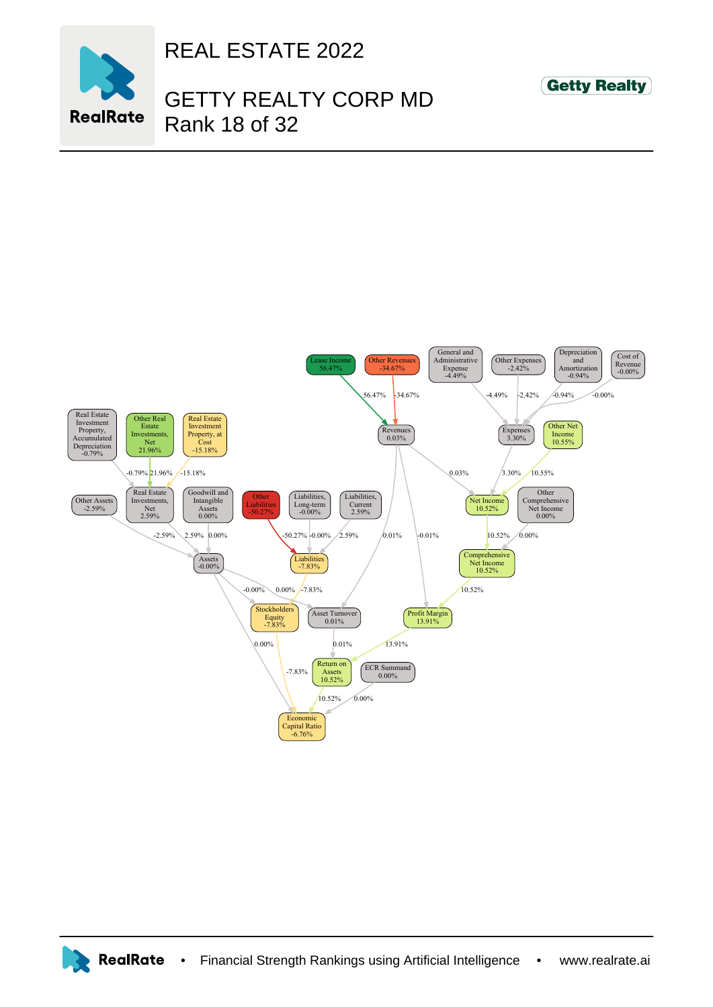

REAL ESTATE 2022

## GETTY REALTY CORP MD Rank 18 of 32